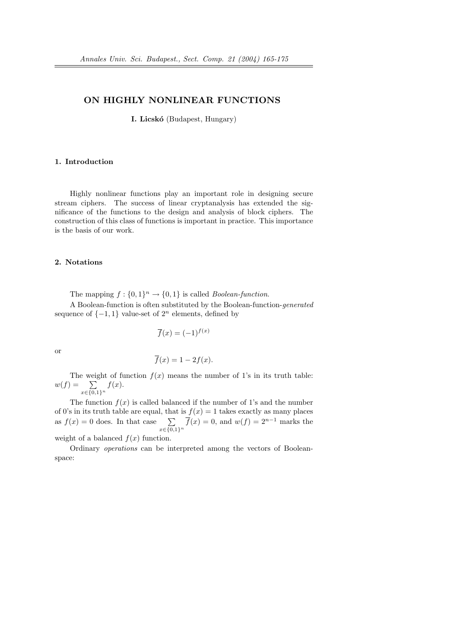# ON HIGHLY NONLINEAR FUNCTIONS

**I. Licskó** (Budapest, Hungary)

## 1. Introduction

Highly nonlinear functions play an important role in designing secure stream ciphers. The success of linear cryptanalysis has extended the significance of the functions to the design and analysis of block ciphers. The construction of this class of functions is important in practice. This importance is the basis of our work.

# 2. Notations

The mapping  $f: \{0,1\}^n \to \{0,1\}$  is called *Boolean-function*.

A Boolean-function is often substituted by the Boolean-function-generated sequence of  $\{-1, 1\}$  value-set of  $2<sup>n</sup>$  elements, defined by

$$
\overline{f}(x) = (-1)^{f(x)}
$$

or

$$
\overline{f}(x) = 1 - 2f(x).
$$

The weight of function  $f(x)$  means the number of 1's in its truth table:  $w(f) = \sum$  $x \in \{0,1\}^n$  $f(x)$ .

The function  $f(x)$  is called balanced if the number of 1's and the number of 0's in its truth table are equal, that is  $f(x) = 1$  takes exactly as many places as  $f(x) = 0$  does. In that case  $\sum$  $x \in \{0,1\}^n$  $\overline{f}(x) = 0$ , and  $w(f) = 2^{n-1}$  marks the

weight of a balanced  $f(x)$  function.

Ordinary operations can be interpreted among the vectors of Booleanspace: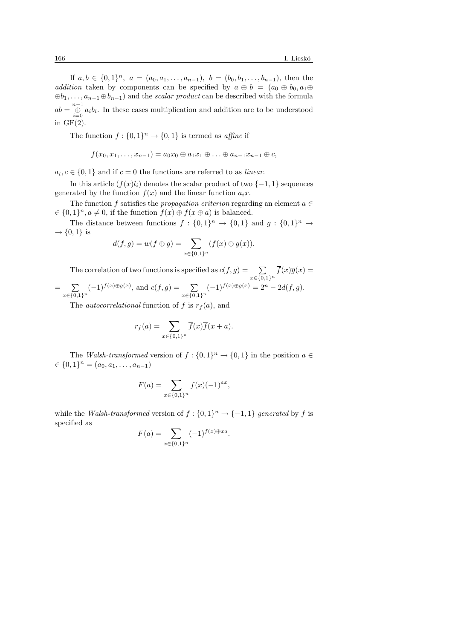If  $a, b \in \{0,1\}^n$ ,  $a = (a_0, a_1, \ldots, a_{n-1})$ ,  $b = (b_0, b_1, \ldots, b_{n-1})$ , then the addition taken by components can be specified by  $a \oplus b = (a_0 \oplus b_0, a_1 \oplus b_0)$  $\oplus b_1, \ldots, a_{n-1} \oplus b_{n-1}$  and the *scalar product* can be described with the formula  $ab = \bigoplus_{i=0}^{n-1} a_i b_i$ . In these cases multiplication and addition are to be understood in  $GF(2)$ .

The function  $f: \{0,1\}^n \to \{0,1\}$  is termed as *affine* if

$$
f(x_0,x_1,\ldots,x_{n-1})=a_0x_0\oplus a_1x_1\oplus\ldots\oplus a_{n-1}x_{n-1}\oplus c,
$$

 $a_i, c \in \{0, 1\}$  and if  $c = 0$  the functions are referred to as *linear*.

In this article  $(\overline{f}(x)l_i)$  denotes the scalar product of two  $\{-1,1\}$  sequences generated by the function  $f(x)$  and the linear function  $a_i x$ .

The function f satisfies the propagation criterion regarding an element  $a \in \mathbb{R}$  $\in \{0,1\}^n, a \neq 0$ , if the function  $f(x) \oplus f(x \oplus a)$  is balanced.

The distance between functions  $f: \{0,1\}^n \to \{0,1\}$  and  $g: \{0,1\}^n \to$  $\rightarrow \{0,1\}$  is

$$
d(f,g) = w(f \oplus g) = \sum_{x \in \{0,1\}^n} (f(x) \oplus g(x)).
$$

The correlation of two functions is specified as  $c(f, g) = \sum$  $x \in \{0,1\}^n$  $f(x)\overline{g}(x) =$  $=$   $\sum$  $x \in \{0,1\}^n$  $(-1)^{f(x)\oplus g(x)}$ , and  $c(f,g) = \sum$  $x \in \{0,1\}^n$  $(-1)^{f(x)\oplus g(x)} = 2^n - 2d(f,g).$ 

The *autocorrelational* function of f is  $r<sub>f</sub>(a)$ , and

$$
r_f(a) = \sum_{x \in \{0,1\}^n} \overline{f}(x)\overline{f}(x+a).
$$

The Walsh-transformed version of  $f: \{0,1\}^n \to \{0,1\}$  in the position  $a \in$  $\in \{0,1\}^n = (a_0, a_1, \ldots, a_{n-1})$ 

$$
F(a) = \sum_{x \in \{0,1\}^n} f(x)(-1)^{ax},
$$

while the Walsh-transformed version of  $\overline{f}$  :  $\{0,1\}^n \rightarrow \{-1,1\}$  generated by f is specified as

$$
\overline{F}(a) = \sum_{x \in \{0,1\}^n} (-1)^{f(x) \oplus xa}.
$$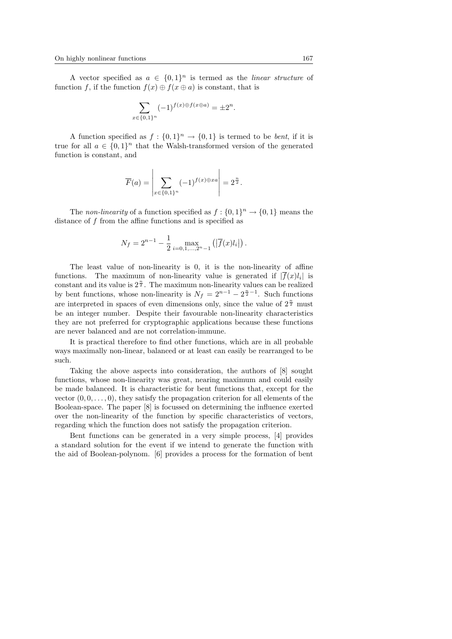A vector specified as  $a \in \{0,1\}^n$  is termed as the *linear structure* of function f, if the function  $f(x) \oplus f(x \oplus a)$  is constant, that is

$$
\sum_{x \in \{0,1\}^n} (-1)^{f(x) \oplus f(x \oplus a)} = \pm 2^n.
$$

A function specified as  $f: \{0,1\}^n \to \{0,1\}$  is termed to be *bent*, if it is true for all  $a \in \{0,1\}^n$  that the Walsh-transformed version of the generated function is constant, and

$$
\overline{F}(a) = \left| \sum_{x \in \{0,1\}^n} (-1)^{f(x) \oplus xa} \right| = 2^{\frac{n}{2}}.
$$

The non-linearity of a function specified as  $f: \{0,1\}^n \to \{0,1\}$  means the distance of f from the affine functions and is specified as

$$
N_f = 2^{n-1} - \frac{1}{2} \max_{i=0,1,\dots,2^n-1} (|\overline{f}(x)l_i|).
$$

The least value of non-linearity is 0, it is the non-linearity of affine functions. The maximum of non-linearity value is generated if  $|f(x)l_i|$  is constant and its value is  $2^{\frac{n}{2}}$ . The maximum non-linearity values can be realized by bent functions, whose non-linearity is  $N_f = 2^{n-1} - 2^{\frac{n}{2}-1}$ . Such functions are interpreted in spaces of even dimensions only, since the value of  $2^{\frac{n}{2}}$  must be an integer number. Despite their favourable non-linearity characteristics they are not preferred for cryptographic applications because these functions are never balanced and are not correlation-immune.

It is practical therefore to find other functions, which are in all probable ways maximally non-linear, balanced or at least can easily be rearranged to be such.

Taking the above aspects into consideration, the authors of [8] sought functions, whose non-linearity was great, nearing maximum and could easily be made balanced. It is characteristic for bent functions that, except for the vector  $(0, 0, \ldots, 0)$ , they satisfy the propagation criterion for all elements of the Boolean-space. The paper [8] is focussed on determining the influence exerted over the non-linearity of the function by specific characteristics of vectors, regarding which the function does not satisfy the propagation criterion.

Bent functions can be generated in a very simple process, [4] provides a standard solution for the event if we intend to generate the function with the aid of Boolean-polynom. [6] provides a process for the formation of bent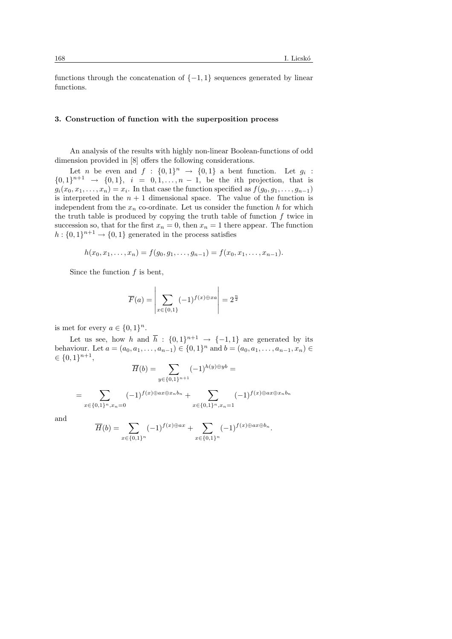functions through the concatenation of  $\{-1,1\}$  sequences generated by linear functions.

# 3. Construction of function with the superposition process

An analysis of the results with highly non-linear Boolean-functions of odd dimension provided in [8] offers the following considerations.

Let *n* be even and  $f : \{0,1\}^n \rightarrow \{0,1\}$  a bent function. Let  $g_i$ :  ${0,1}^{n+1} \rightarrow {0,1}$ ,  $i = 0,1,...,n-1$ , be the *i*th projection, that is  $g_i(x_0, x_1, \ldots, x_n) = x_i$ . In that case the function specified as  $f(g_0, g_1, \ldots, g_{n-1})$ is interpreted in the  $n + 1$  dimensional space. The value of the function is independent from the  $x_n$  co-ordinate. Let us consider the function h for which the truth table is produced by copying the truth table of function  $f$  twice in succession so, that for the first  $x_n = 0$ , then  $x_n = 1$  there appear. The function  $h: \{0,1\}^{n+1} \to \{0,1\}$  generated in the process satisfies

$$
h(x_0, x_1, \ldots, x_n) = f(g_0, g_1, \ldots, g_{n-1}) = f(x_0, x_1, \ldots, x_{n-1}).
$$

Since the function  $f$  is bent,

$$
\overline{F}(a) = \left| \sum_{x \in \{0,1\}} (-1)^{f(x) \oplus xa} \right| = 2^{\frac{n}{2}}
$$

is met for every  $a \in \{0,1\}^n$ .

Let us see, how h and  $\bar{h}$ :  $\{0,1\}^{n+1}$   $\rightarrow$   $\{-1,1\}$  are generated by its behaviour. Let  $a = (a_0, a_1, \ldots, a_{n-1}) \in \{0, 1\}^n$  and  $b = (a_0, a_1, \ldots, a_{n-1}, x_n) \in$  $\in \{0,1\}^{n+1},$ 

$$
\overline{H}(b) = \sum_{y \in \{0,1\}^{n+1}} (-1)^{h(y) \oplus yb} =
$$

$$
= \sum_{x \in \{0,1\}^n, x_n = 0} (-1)^{f(x) \oplus ax \oplus x_n b_n} + \sum_{x \in \{0,1\}^n, x_n = 1} (-1)^{f(x) \oplus ax \oplus x_n b_n}
$$

and

$$
\overline{H}(b) = \sum_{x \in \{0,1\}^n} (-1)^{f(x) \oplus ax} + \sum_{x \in \{0,1\}^n} (-1)^{f(x) \oplus ax \oplus b_n}.
$$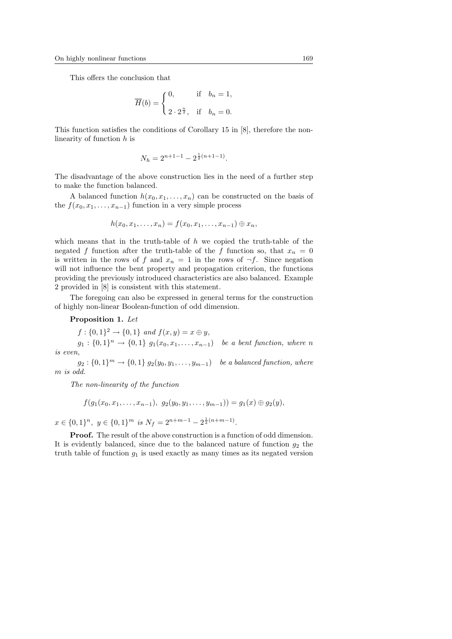This offers the conclusion that

$$
\overline{H}(b) = \begin{cases} 0, & \text{if } b_n = 1, \\ 2 \cdot 2^{\frac{n}{2}}, & \text{if } b_n = 0. \end{cases}
$$

This function satisfies the conditions of Corollary 15 in [8], therefore the nonlinearity of function  $h$  is

$$
N_h = 2^{n+1-1} - 2^{\frac{1}{2}(n+1-1)}.
$$

The disadvantage of the above construction lies in the need of a further step to make the function balanced.

A balanced function  $h(x_0, x_1, \ldots, x_n)$  can be constructed on the basis of the  $f(x_0, x_1, \ldots, x_{n-1})$  function in a very simple process

$$
h(x_0, x_1, \ldots, x_n) = f(x_0, x_1, \ldots, x_{n-1}) \oplus x_n,
$$

which means that in the truth-table of h we copied the truth-table of the negated f function after the truth-table of the f function so, that  $x_n = 0$ is written in the rows of f and  $x_n = 1$  in the rows of  $\neg f$ . Since negation will not influence the bent property and propagation criterion, the functions providing the previously introduced characteristics are also balanced. Example 2 provided in [8] is consistent with this statement.

The foregoing can also be expressed in general terms for the construction of highly non-linear Boolean-function of odd dimension.

# Proposition 1. Let

 $f: \{0,1\}^2 \to \{0,1\}$  and  $f(x,y) = x \oplus y$ ,  $g_1: \{0,1\}^n \to \{0,1\}$   $g_1(x_0, x_1, \ldots, x_{n-1})$  be a bent function, where n is even,

 $g_2: \{0,1\}^m \to \{0,1\}$   $g_2(y_0, y_1, \ldots, y_{m-1})$  be a balanced function, where m is odd.

The non-linearity of the function

$$
f(g_1(x_0,x_1,\ldots,x_{n-1}),\;g_2(y_0,y_1,\ldots,y_{m-1}))=g_1(x)\oplus g_2(y),
$$

 $x \in \{0,1\}^n$ ,  $y \in \{0,1\}^m$  is  $N_f = 2^{n+m-1} - 2^{\frac{1}{2}(n+m-1)}$ .

**Proof.** The result of the above construction is a function of odd dimension. It is evidently balanced, since due to the balanced nature of function  $g_2$  the truth table of function  $g_1$  is used exactly as many times as its negated version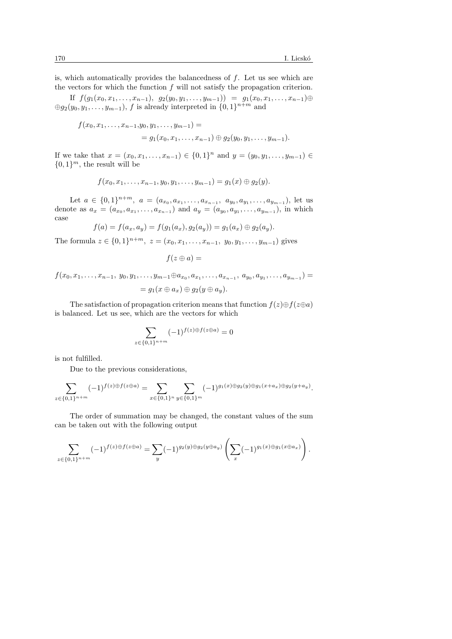is, which automatically provides the balancedness of  $f$ . Let us see which are the vectors for which the function  $f$  will not satisfy the propagation criterion.

If  $f(g_1(x_0, x_1, \ldots, x_{n-1}), g_2(y_0, y_1, \ldots, y_{m-1})) = g_1(x_0, x_1, \ldots, x_{n-1}) \oplus$  $\oplus g_2(y_0, y_1, \ldots, y_{m-1}),$  f is already interpreted in  $\{0, 1\}^{n+m}$  and

$$
f(x_0, x_1, \ldots, x_{n-1}, y_0, y_1, \ldots, y_{m-1}) =
$$
  
=  $g_1(x_0, x_1, \ldots, x_{n-1}) \oplus g_2(y_0, y_1, \ldots, y_{m-1}).$ 

If we take that  $x = (x_0, x_1, \ldots, x_{n-1}) \in \{0, 1\}^n$  and  $y = (y_0, y_1, \ldots, y_{m-1}) \in$  $\{0,1\}^m$ , the result will be

$$
f(x_0,x_1,\ldots,x_{n-1},y_0,y_1,\ldots,y_{m-1})=g_1(x)\oplus g_2(y).
$$

Let  $a \in \{0,1\}^{n+m}$ ,  $a = (a_{x_0}, a_{x_1}, \ldots, a_{x_{n-1}}, a_{y_0}, a_{y_1}, \ldots, a_{y_{m-1}})$ , let us denote as  $a_x = (a_{x_0}, a_{x_1}, \ldots, a_{x_{n-1}})$  and  $a_y = (a_{y_0}, a_{y_1}, \ldots, a_{y_{m-1}})$ , in which case

$$
f(a) = f(a_x, a_y) = f(g_1(a_x), g_2(a_y)) = g_1(a_x) \oplus g_2(a_y).
$$

The formula  $z \in \{0,1\}^{n+m}$ ,  $z = (x_0, x_1, \ldots, x_{n-1}, y_0, y_1, \ldots, y_{m-1})$  gives

$$
f(z \oplus a) =
$$

$$
f(x_0, x_1, \ldots, x_{n-1}, y_0, y_1, \ldots, y_{m-1} \oplus a_{x_0}, a_{x_1}, \ldots, a_{x_{n-1}}, a_{y_0}, a_{y_1}, \ldots, a_{y_{m-1}}) =
$$
  
=  $g_1(x \oplus a_x) \oplus g_2(y \oplus a_y).$ 

The satisfaction of propagation criterion means that function  $f(z) \oplus f(z \oplus a)$ is balanced. Let us see, which are the vectors for which

$$
\sum_{z \in \{0,1\}^{n+m}} (-1)^{f(z)\oplus f(z \oplus a)} = 0
$$

is not fulfilled.

Due to the previous considerations,

$$
\sum_{z \in \{0,1\}^{n+m}} (-1)^{f(z)\oplus f(z\oplus a)} = \sum_{x \in \{0,1\}^n} \sum_{y \in \{0,1\}^m} (-1)^{g_1(x)\oplus g_2(y)\oplus g_1(x+a_x)\oplus g_2(y+a_y)}.
$$

The order of summation may be changed, the constant values of the sum can be taken out with the following output

$$
\sum_{z \in \{0,1\}^{n+m}} (-1)^{f(z)\oplus f(z \oplus a)} = \sum_{y} (-1)^{g_2(y)\oplus g_2(y \oplus a_y)} \left( \sum_{x} (-1)^{g_1(x)\oplus g_1(x \oplus a_x)} \right).
$$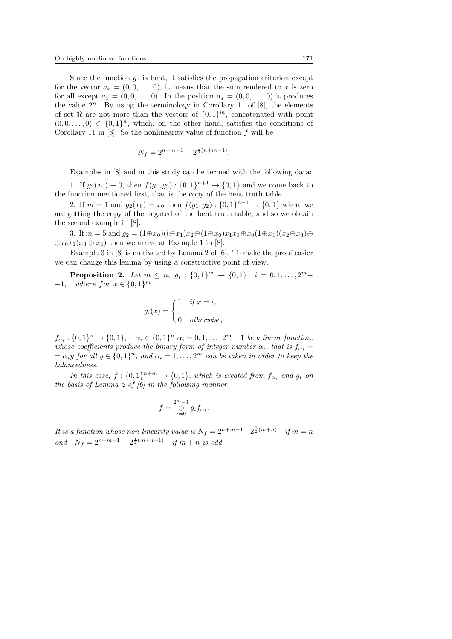Since the function  $g_1$  is bent, it satisfies the propagation criterion except for the vector  $a_x = (0, 0, \ldots, 0)$ , it means that the sum rendered to x is zero for all except  $a_x = (0,0,\ldots,0)$ . In the position  $a_x = (0,0,\ldots,0)$  it produces the value  $2^n$ . By using the terminology in Corollary 11 of [8], the elements of set  $\Re$  are not more than the vectors of  $\{0,1\}^m$ , concatenated with point  $(0,0,\ldots,0) \in \{0,1\}^n$ , which, on the other hand, satisfies the conditions of Corollary 11 in [8]. So the nonlinearity value of function  $f$  will be

$$
N_f = 2^{n+m-1} - 2^{\frac{1}{2}(n+m-1)}.
$$

Examples in [8] and in this study can be termed with the following data:

1. If  $g_2(x_0) \equiv 0$ , then  $f(g_1, g_2) : \{0, 1\}^{n+1} \to \{0, 1\}$  and we come back to the function mentioned first, that is the copy of the bent truth table.

2. If  $m = 1$  and  $g_2(x_0) = x_0$  then  $f(g_1, g_2) : \{0, 1\}^{n+1} \to \{0, 1\}$  where we are getting the copy of the negated of the bent truth table, and so we obtain the second example in [8].

3. If  $m = 5$  and  $q_2 = (1 \oplus x_0)(l \oplus x_1)x_2 \oplus (1 \oplus x_0)x_1x_3 \oplus x_0(1 \oplus x_1)(x_2 \oplus x_3) \oplus$  $\bigoplus x_0x_1(x_3 \oplus x_4)$  then we arrive at Example 1 in [8].

Example 3 in [8] is motivated by Lemma 2 of [6]. To make the proof easier we can change this lemma by using a constructive point of view.

**Proposition 2.** Let  $m \le n$ ,  $g_i : \{0,1\}^m \to \{0,1\}$   $i = 0,1,\ldots,2^m -1$ , where for  $x \in \{0,1\}^m$ 

$$
g_i(x) = \begin{cases} 1 & if \ x = i, \\ 0 & otherwise, \end{cases}
$$

 $f_{\alpha_i}: \{0,1\}^n \to \{0,1\}, \quad \alpha_i \in \{0,1\}^n \; \alpha_i = 0,1,\ldots,2^m-1 \; \text{be a linear function},$ whose coefficients produce the binary form of integer number  $\alpha_i$ , that is  $f_{\alpha_i} =$  $= \alpha_i y$  for all  $y \in \{0,1\}^n$ , and  $\alpha_i = 1, \ldots, 2^m$  can be taken in order to keep the balancedness.

In this case,  $f: \{0,1\}^{n+m} \to \{0,1\}$ , which is created from  $f_{\alpha_i}$  and  $g_i$  on the basis of Lemma 2 of  $\lbrack 6 \rbrack$  in the following manner

$$
f = \bigoplus_{i=0}^{2^m - 1} g_i f_{\alpha_i}.
$$

It is a function whose non-linearity value is  $N_f = 2^{n+m-1} - 2^{\frac{1}{2}(m+n)}$  if  $m = n$ and  $N_f = 2^{n+m-1} - 2^{\frac{1}{2}(m+n-1)}$  if  $m+n$  is odd.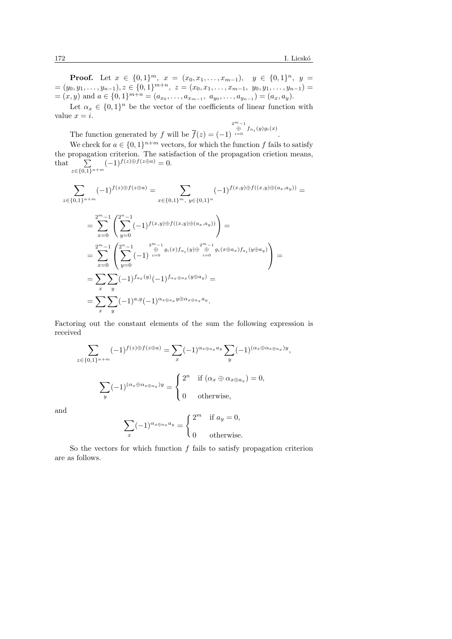**Proof.** Let 
$$
x \in \{0,1\}^m
$$
,  $x = (x_0, x_1, \ldots, x_{m-1})$ ,  $y \in \{0,1\}^n$ ,  $y = (y_0, y_1, \ldots, y_{n-1})$ ,  $z \in \{0,1\}^{m+n}$ ,  $z = (x_0, x_1, \ldots, x_{m-1}, y_0, y_1, \ldots, y_{n-1}) = (x, y)$  and  $a \in \{0,1\}^{m+n} = (a_{x_0}, \ldots, a_{x_{m-1}}, a_{y_0}, \ldots, a_{y_{n-1}}) = (a_x, a_y)$ .

Let  $\alpha_x \in \{0,1\}^n$  be the vector of the coefficients of linear function with value  $x = i$ .

The function generated by f will be  $f(z) = (-1)$  $\overset{2^m-1}{\underset{i=0}{\oplus}} f_{\alpha_i}(y)g_i(x)$ .

We check for  $a \in \{0,1\}^{n+m}$  vectors, for which the function f fails to satisfy the propagation criterion. The satisfaction of the propagation crietion means,  $\frac{1}{2}$ that  $\sum$  $z \in \{0,1\}^{n+m}$  $(-1)^{f(z)\oplus f(z\oplus a)}=0.$ 

$$
\sum_{z \in \{0,1\}^{n+m}} (-1)^{f(z)\oplus f(z\oplus a)} = \sum_{x \in \{0,1\}^m, y \in \{0,1\}^n} (-1)^{f(x,y)\oplus f((x,y)\oplus (a_x,a_y))} =
$$

$$
= \sum_{x=0}^{2^m-1} \left( \sum_{y=0}^{2^n-1} (-1)^{f(x,y)\oplus f((x,y)\oplus (a_x,a_y))} \right) =
$$
  
\n
$$
= \sum_{x=0}^{2^m-1} \left( \sum_{y=0}^{2^n-1} (-1)^{\bigoplus_{i=0}^{2^m-1} g_i(x) f_{\alpha_i}(y) \oplus \bigoplus_{i=0}^{2^m-1} g_i(x \oplus a_x) f_{a_i}(y \oplus a_y) \right) =
$$
  
\n
$$
= \sum_{x} \sum_{y} (-1)^{f_{a_x}(y)} (-1)^{f_{\alpha_x} \oplus a_x}(y \oplus a_y) =
$$
  
\n
$$
= \sum_{x} \sum_{y} (-1)^{a_y} (-1)^{a_x \oplus a_x} y \oplus a_x a_x a_y.
$$

Factoring out the constant elements of the sum the following expression is received

$$
\sum_{z \in \{0,1\}^{n+m}} (-1)^{f(z)\oplus f(z\oplus a)} = \sum_{x} (-1)^{\alpha_{x\oplus a_x} a_y} \sum_{y} (-1)^{(\alpha_x \oplus \alpha_x \oplus a_x) y},
$$

$$
\sum_{y} (-1)^{(\alpha_x \oplus \alpha_x \oplus a_x) y} = \begin{cases} 2^n & \text{if } (\alpha_x \oplus \alpha_{x\oplus a_x}) = 0, \\ 0 & \text{otherwise,} \end{cases}
$$

and

$$
\sum_{x} (-1)^{\alpha_{x \oplus a_x} a_y} = \begin{cases} 2^m & \text{if } a_y = 0, \\ 0 & \text{otherwise.} \end{cases}
$$

So the vectors for which function  $f$  fails to satisfy propagation criterion are as follows.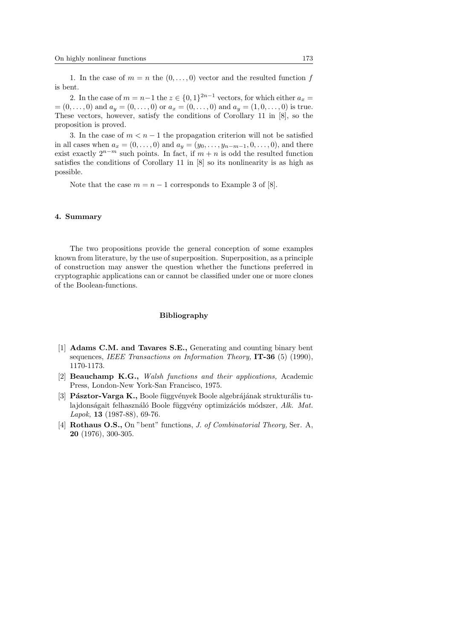1. In the case of  $m = n$  the  $(0, \ldots, 0)$  vector and the resulted function f is bent.

2. In the case of  $m = n-1$  the  $z \in \{0,1\}^{2n-1}$  vectors, for which either  $a_x =$  $=(0,\ldots,0)$  and  $a_y=(0,\ldots,0)$  or  $a_x=(0,\ldots,0)$  and  $a_y=(1,0,\ldots,0)$  is true. These vectors, however, satisfy the conditions of Corollary 11 in [8], so the proposition is proved.

3. In the case of  $m < n-1$  the propagation criterion will not be satisfied in all cases when  $a_x = (0, \ldots, 0)$  and  $a_y = (y_0, \ldots, y_{n-m-1}, 0, \ldots, 0)$ , and there exist exactly  $2^{n-m}$  such points. In fact, if  $m + n$  is odd the resulted function satisfies the conditions of Corollary 11 in [8] so its nonlinearity is as high as possible.

Note that the case  $m = n - 1$  corresponds to Example 3 of [8].

### 4. Summary

The two propositions provide the general conception of some examples known from literature, by the use of superposition. Superposition, as a principle of construction may answer the question whether the functions preferred in cryptographic applications can or cannot be classified under one or more clones of the Boolean-functions.

### Bibliography

- [1] Adams C.M. and Tavares S.E., Generating and counting binary bent sequences, IEEE Transactions on Information Theory,  $IT-36$  (5) (1990), 1170-1173.
- [2] Beauchamp K.G., Walsh functions and their applications, Academic Press, London-New York-San Francisco, 1975.
- [3] **Pásztor-Varga K.,** Boole függvények Boole algebrájának strukturális tulajdonságait felhasználó Boole függvény optimizációs módszer,  $A\&A$ . Mat. Lapok, 13  $(1987-88)$ , 69-76.
- [4] **Rothaus O.S.,** On "bent" functions, *J. of Combinatorial Theory*, Ser. A, 20 (1976), 300-305.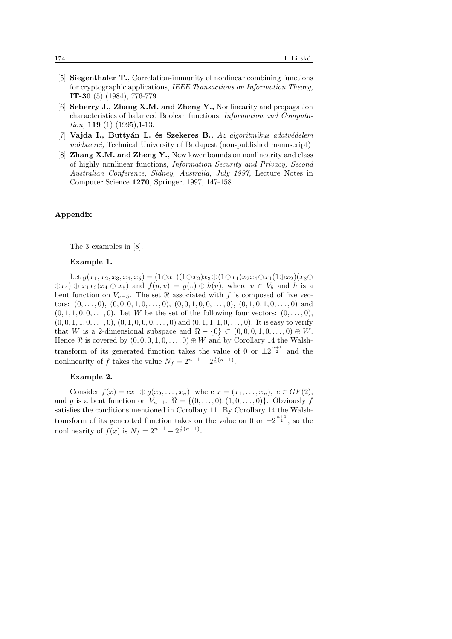- [5] Siegenthaler T., Correlation-immunity of nonlinear combining functions for cryptographic applications, IEEE Transactions on Information Theory, IT-30 (5) (1984), 776-779.
- [6] Seberry J., Zhang X.M. and Zheng Y., Nonlinearity and propagation characteristics of balanced Boolean functions, Information and Computation,  $119(1)(1995)$ , 1-13.
- [7] Vajda I., Buttyán L. és Szekeres B., Az algoritmikus adatvédelem módszerei, Technical University of Budapest (non-published manuscript)
- [8] Zhang X.M. and Zheng Y., New lower bounds on nonlinearity and class of highly nonlinear functions, Information Security and Privacy, Second Australian Conference, Sidney, Australia, July 1997, Lecture Notes in Computer Science 1270, Springer, 1997, 147-158.

# Appendix

The 3 examples in [8].

#### Example 1.

Let  $g(x_1, x_2, x_3, x_4, x_5) = (1 \oplus x_1)(1 \oplus x_2)x_3 \oplus (1 \oplus x_1)x_2x_4 \oplus x_1(1 \oplus x_2)(x_3 \oplus x_4)$  $\oplus x_4$ )  $\oplus$   $x_1x_2(x_4 \oplus x_5)$  and  $f(u, v) = g(v) \oplus h(u)$ , where  $v \in V_5$  and h is a bent function on  $V_{n-5}$ . The set  $\Re$  associated with f is composed of five vectors:  $(0, \ldots, 0), (0, 0, 0, 1, 0, \ldots, 0), (0, 0, 1, 0, 0, \ldots, 0), (0, 1, 0, 1, 0, \ldots, 0)$  and  $(0, 1, 1, 0, 0, \ldots, 0)$ . Let W be the set of the following four vectors:  $(0, \ldots, 0)$ ,  $(0, 0, 1, 1, 0, \ldots, 0), (0, 1, 0, 0, 0, \ldots, 0)$  and  $(0, 1, 1, 1, 0, \ldots, 0)$ . It is easy to verify that W is a 2-dimensional subspace and  $\Re -\{0\} \subset (0,0,0,1,0,\ldots,0) \oplus W$ . Hence  $\Re$  is covered by  $(0, 0, 0, 1, 0, \ldots, 0) \oplus W$  and by Corollary 14 the Walshtransform of its generated function takes the value of 0 or  $\pm 2^{\frac{n+1}{2}}$  and the nonlinearity of f takes the value  $N_f = 2^{n-1} - 2^{\frac{1}{2}(n-1)}$ .

# Example 2.

Consider  $f(x) = cx_1 \oplus g(x_2, \ldots, x_n)$ , where  $x = (x_1, \ldots, x_n)$ ,  $c \in GF(2)$ , and g is a bent function on  $V_{n-1}$ .  $\Re = \{(0, \ldots, 0), (1, 0, \ldots, 0)\}\.$  Obviously f satisfies the conditions mentioned in Corollary 11. By Corollary 14 the Walshtransform of its generated function takes on the value on 0 or  $\pm 2^{\frac{n+1}{2}}$ , so the nonlinearity of  $f(x)$  is  $N_f = 2^{n-1} - 2^{\frac{1}{2}(n-1)}$ .